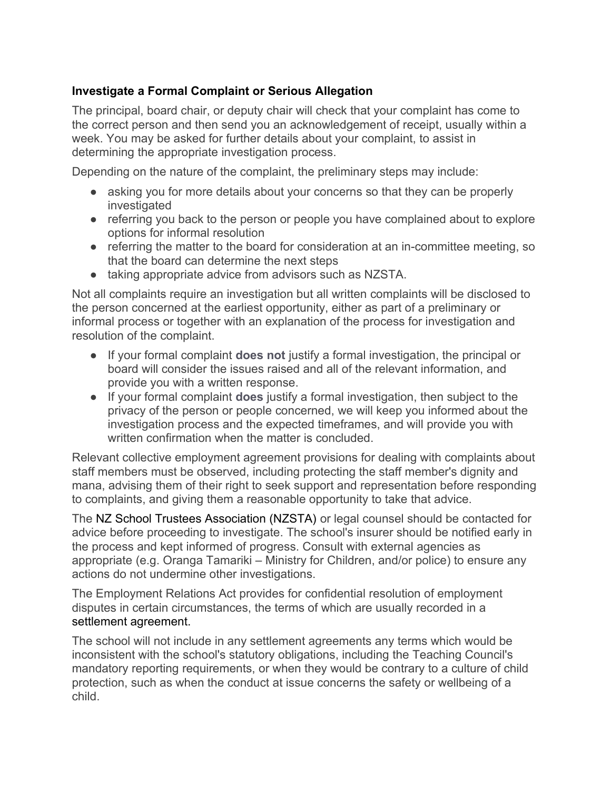## **Investigate a Formal Complaint or Serious Allegation**

The principal, board chair, or deputy chair will check that your complaint has come to the correct person and then send you an acknowledgement of receipt, usually within a week. You may be asked for further details about your complaint, to assist in determining the appropriate investigation process.

Depending on the nature of the complaint, the preliminary steps may include:

- asking you for more details about your concerns so that they can be properly investigated
- referring you back to the person or people you have complained about to explore options for informal resolution
- referring the matter to the board for consideration at an in-committee meeting, so that the board can determine the next steps
- taking appropriate advice from advisors such as NZSTA.

Not all complaints require an investigation but all written complaints will be disclosed to the person concerned at the earliest opportunity, either as part of a preliminary or informal process or together with an explanation of the process for investigation and resolution of the complaint.

- If your formal complaint **does not** justify a formal investigation, the principal or board will consider the issues raised and all of the relevant information, and provide you with a written response.
- If your formal complaint **does** justify a formal investigation, then subject to the privacy of the person or people concerned, we will keep you informed about the investigation process and the expected timeframes, and will provide you with written confirmation when the matter is concluded.

Relevant collective employment agreement provisions for dealing with complaints about staff members must be observed, including protecting the staff member's dignity and mana, advising them of their right to seek support and representation before responding to complaints, and giving them a reasonable opportunity to take that advice.

The NZ School Trustees Association (NZSTA) or legal counsel should be contacted for advice before proceeding to investigate. The school's insurer should be notified early in the process and kept informed of progress. Consult with external agencies as appropriate (e.g. Oranga Tamariki – Ministry for Children, and/or police) to ensure any actions do not undermine other investigations.

The Employment Relations Act provides for confidential resolution of employment disputes in certain circumstances, the terms of which are usually recorded in a settlement agreement.

The school will not include in any settlement agreements any terms which would be inconsistent with the school's statutory obligations, including the Teaching Council's mandatory reporting requirements, or when they would be contrary to a culture of child protection, such as when the conduct at issue concerns the safety or wellbeing of a child.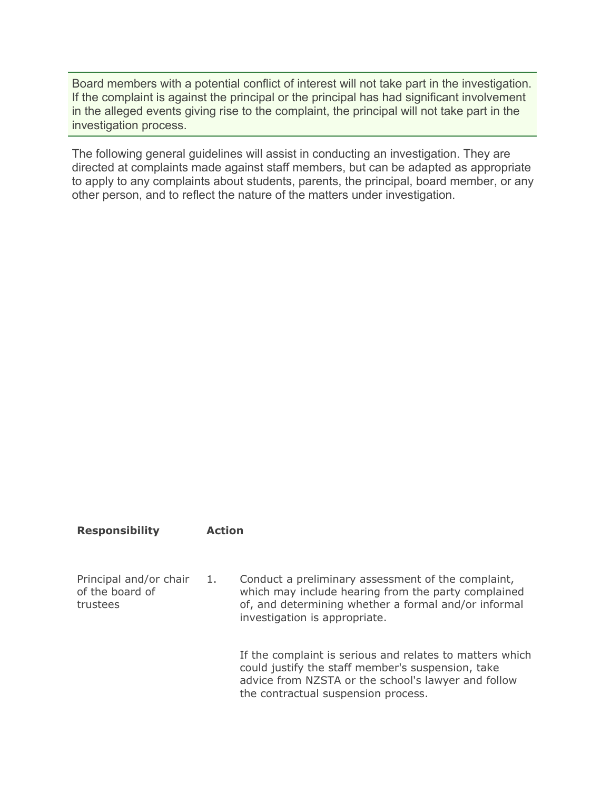Board members with a potential conflict of interest will not take part in the investigation. If the complaint is against the principal or the principal has had significant involvement in the alleged events giving rise to the complaint, the principal will not take part in the investigation process.

The following general guidelines will assist in conducting an investigation. They are directed at complaints made against staff members, but can be adapted as appropriate to apply to any complaints about students, parents, the principal, board member, or any other person, and to reflect the nature of the matters under investigation.

## **Responsibility Action**

Principal and/or chair of the board of trustees 1. Conduct a preliminary assessment of the complaint, which may include hearing from the party complained of, and determining whether a formal and/or informal investigation is appropriate.

> If the complaint is serious and relates to matters which could justify the staff member's suspension, take advice from NZSTA or the school's lawyer and follow the contractual suspension process.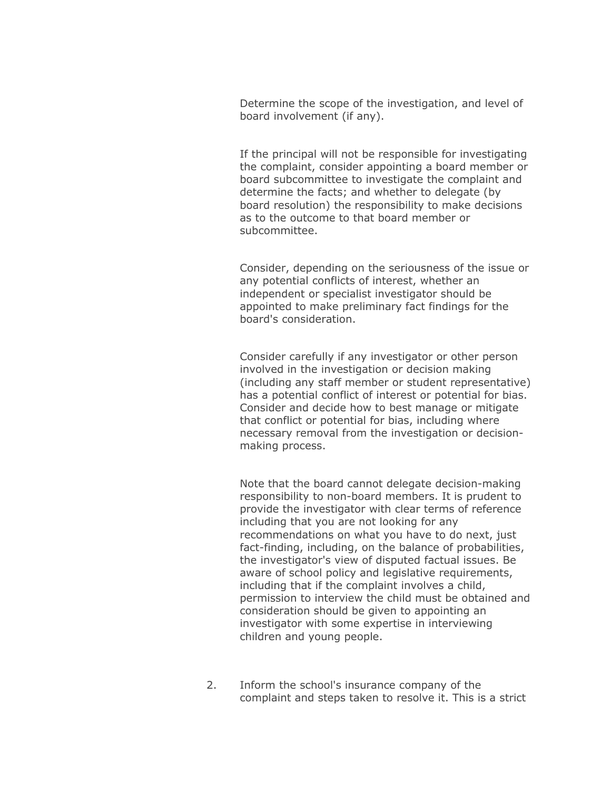Determine the scope of the investigation, and level of board involvement (if any).

If the principal will not be responsible for investigating the complaint, consider appointing a board member or board subcommittee to investigate the complaint and determine the facts; and whether to delegate (by board resolution) the responsibility to make decisions as to the outcome to that board member or subcommittee.

Consider, depending on the seriousness of the issue or any potential conflicts of interest, whether an independent or specialist investigator should be appointed to make preliminary fact findings for the board's consideration.

Consider carefully if any investigator or other person involved in the investigation or decision making (including any staff member or student representative) has a potential conflict of interest or potential for bias. Consider and decide how to best manage or mitigate that conflict or potential for bias, including where necessary removal from the investigation or decisionmaking process.

Note that the board cannot delegate decision-making responsibility to non-board members. It is prudent to provide the investigator with clear terms of reference including that you are not looking for any recommendations on what you have to do next, just fact-finding, including, on the balance of probabilities, the investigator's view of disputed factual issues. Be aware of school policy and legislative requirements, including that if the complaint involves a child, permission to interview the child must be obtained and consideration should be given to appointing an investigator with some expertise in interviewing children and young people.

2. Inform the school's insurance company of the complaint and steps taken to resolve it. This is a strict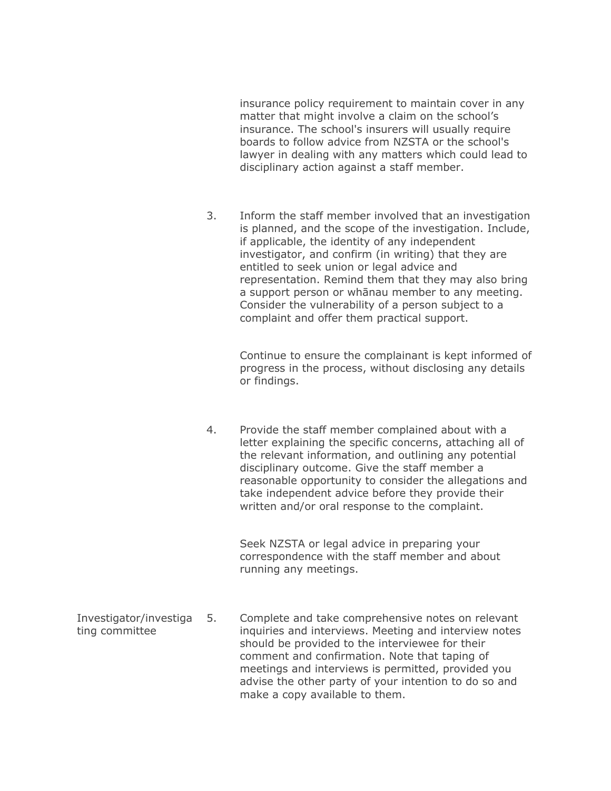insurance policy requirement to maintain cover in any matter that might involve a claim on the school's insurance. The school's insurers will usually require boards to follow advice from NZSTA or the school's lawyer in dealing with any matters which could lead to disciplinary action against a staff member.

3. Inform the staff member involved that an investigation is planned, and the scope of the investigation. Include, if applicable, the identity of any independent investigator, and confirm (in writing) that they are entitled to seek union or legal advice and representation. Remind them that they may also bring a support person or whānau member to any meeting. Consider the vulnerability of a person subject to a complaint and offer them practical support.

> Continue to ensure the complainant is kept informed of progress in the process, without disclosing any details or findings.

4. Provide the staff member complained about with a letter explaining the specific concerns, attaching all of the relevant information, and outlining any potential disciplinary outcome. Give the staff member a reasonable opportunity to consider the allegations and take independent advice before they provide their written and/or oral response to the complaint.

> Seek NZSTA or legal advice in preparing your correspondence with the staff member and about running any meetings.

Investigator/investiga ting committee 5. Complete and take comprehensive notes on relevant inquiries and interviews. Meeting and interview notes should be provided to the interviewee for their comment and confirmation. Note that taping of meetings and interviews is permitted, provided you advise the other party of your intention to do so and make a copy available to them.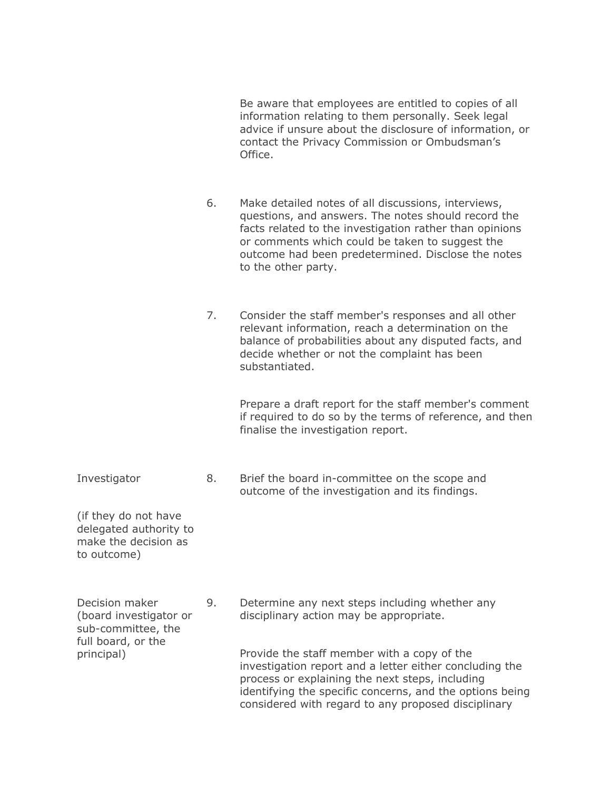Be aware that employees are entitled to copies of all information relating to them personally. Seek legal advice if unsure about the disclosure of information, or contact the Privacy Commission or Ombudsman's Office.

- 6. Make detailed notes of all discussions, interviews, questions, and answers. The notes should record the facts related to the investigation rather than opinions or comments which could be taken to suggest the outcome had been predetermined. Disclose the notes to the other party.
- 7. Consider the staff member's responses and all other relevant information, reach a determination on the balance of probabilities about any disputed facts, and decide whether or not the complaint has been substantiated.

Prepare a draft report for the staff member's comment if required to do so by the terms of reference, and then finalise the investigation report.

8. Brief the board in-committee on the scope and outcome of the investigation and its findings.

(if they do not have delegated authority to make the decision as to outcome)

Investigator

Decision maker (board investigator or sub-committee, the full board, or the principal)

9. Determine any next steps including whether any disciplinary action may be appropriate.

> Provide the staff member with a copy of the investigation report and a letter either concluding the process or explaining the next steps, including identifying the specific concerns, and the options being considered with regard to any proposed disciplinary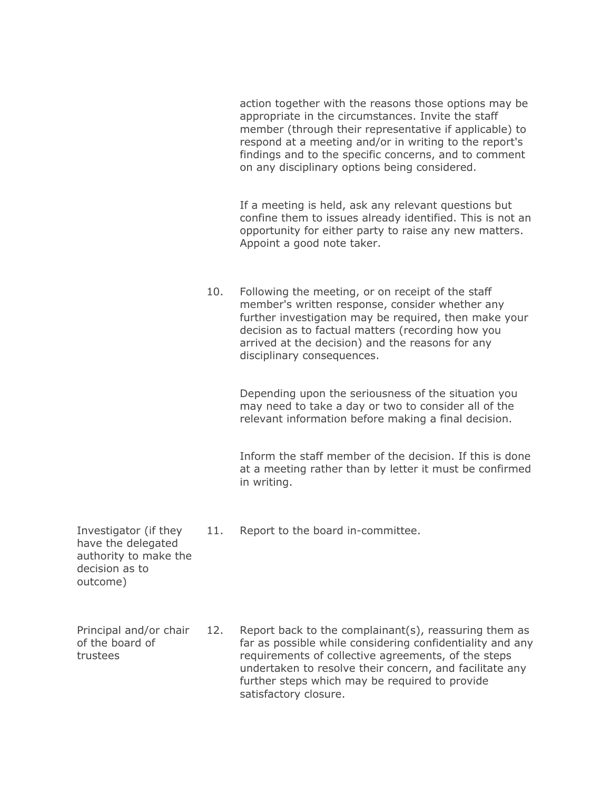action together with the reasons those options may be appropriate in the circumstances. Invite the staff member (through their representative if applicable) to respond at a meeting and/or in writing to the report's findings and to the specific concerns, and to comment on any disciplinary options being considered.

If a meeting is held, ask any relevant questions but confine them to issues already identified. This is not an opportunity for either party to raise any new matters. Appoint a good note taker.

10. Following the meeting, or on receipt of the staff member's written response, consider whether any further investigation may be required, then make your decision as to factual matters (recording how you arrived at the decision) and the reasons for any disciplinary consequences.

> Depending upon the seriousness of the situation you may need to take a day or two to consider all of the relevant information before making a final decision.

Inform the staff member of the decision. If this is done at a meeting rather than by letter it must be confirmed in writing.

11. Report to the board in-committee.

Investigator (if they have the delegated authority to make the decision as to outcome)

Principal and/or chair of the board of trustees

12. Report back to the complainant(s), reassuring them as far as possible while considering confidentiality and any requirements of collective agreements, of the steps undertaken to resolve their concern, and facilitate any further steps which may be required to provide satisfactory closure.